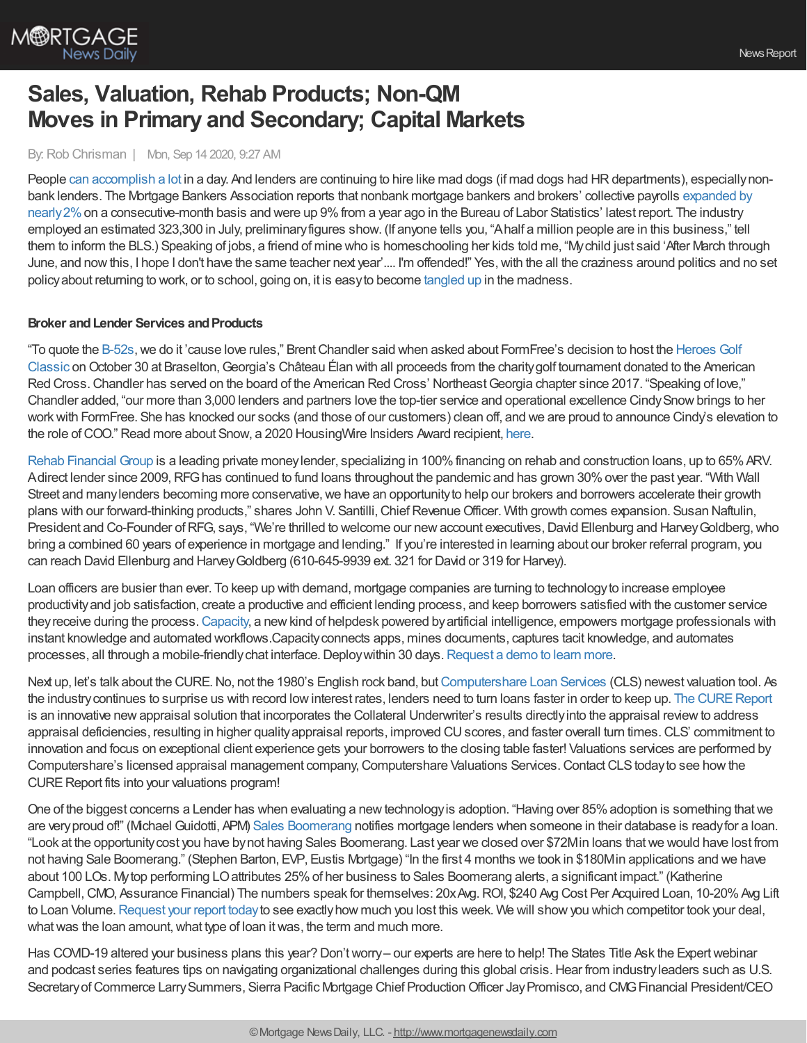

# **Sales, Valuation, Rehab Products; Non-QM Moves in Primary and Secondary; Capital Markets**

### By:Rob Chrisman | Mon, Sep 14 2020, 9:27 AM

People can [accomplish](https://www.youtube.com/watch?v=VMbqlNGxNUI) a lot in a day. And lenders are continuing to hire like mad dogs (if mad dogs had HR departments), especially nonbank lenders. The Mortgage Bankers Association reports that nonbank mortgage bankers and brokers' collective payrolls expanded by nearly 2% on a [consecutive-month](https://newslink.mba.org/mba-newslinks/2020/september/mba-newslink-tuesday-sept-8-2020/nonbank-mortgage-hiring-persists-in-july-with-more-growth-to-come/) basis and were up 9% from a year ago in the Bureau of Labor Statistics' latest report. The industry employed an estimated 323,300 in July, preliminaryfigures show. (If anyone tells you, "Ahalf a million people are in this business," tell them to inform the BLS.) Speaking of jobs, a friend of mine who is homeschooling her kids told me, "Mychild just said 'After March through June, and nowthis, I hope I don't have the same teacher next year'.... I'm offended!" Yes,with the all the craziness around politics and no set policyabout returning to work, or to school, going on, it is easyto become [tangled](https://video.foxnews.com/v/6186005921001#sp=show-clips) up in the madness.

## **Broker** and Lender Services and Products

"To quote the [B-52s](https://www.youtube.com/watch?v=9SOryJvTAGs), we do it 'cause love rules," Brent Chandler said when asked about FormFree's decision to host the Heroes Golf Classic on October 30 at Braselton, Georgia's Château Élan with all proceeds from the charity golf tournament donated to the American Red Cross. Chandler has served on the board of the American Red Cross' Northeast Georgia chapter since 2017. "Speaking of love," Chandler added, "our more than 3,000 lenders and partners love the top-tier service and operational excellence CindySnowbrings to her workwith FormFree. She has knocked our socks (and those of our customers) clean off, and we are proud to announce Cindy's elevation to the role of COO." Read more about Snow, a 2020 HousingWire Insiders Award recipient, [here.](https://www.formfree.com/2020/09/08/formfree-promotes-cindy-snow-to-coo/)

Rehab [Financial](https://rehabfinancial.com/) Group is a leading private moneylender, specializing in 100%financing on rehab and construction loans, up to 65%ARV. Adirect lender since 2009, RFG has continued to fund loans throughout the pandemic and has grown 30% over the past year. "With Wall Street and many lenders becoming more conservative, we have an opportunity to help our brokers and borrowers accelerate their growth plans with our forward-thinking products," shares John V. Santilli, Chief Revenue Officer. With growth comes expansion. Susan Naftulin, President and Co-Founder of RFG, says, "We're thrilled to welcome our new account executives, David Ellenburg and Harvey Goldberg, who bring a combined 60 years of experience in mortgage and lending." If you're interested in learning about our broker referral program, you can reach David Ellenburg and HarveyGoldberg (610-645-9939 ext. 321 for David or 319 for Harvey).

Loan officers are busier than ever. To keep up with demand, mortgage companies are turning to technologyto increase employee productivityand job satisfaction, create a productive and efficient lending process, and keep borrowers satisfied with the customer service theyreceive during the process.[Capacity](https://capacity.com/mortgage?utm_campaign=rc_ad&utm_source=rc&utm_medium=referral), a newkind of helpdesk powered byartificial intelligence, empowers mortgage professionals with instant knowledge and automated workflows.Capacityconnects apps, mines documents, captures tacit knowledge, and automates processes, all through a mobile-friendly chat interface. Deploy within 30 days. [Request](https://capacity.com/request-a-demo/) a demo to learn more.

Next up, let's talk about the CURE. No, not the 1980's English rock band, but [Computershare](https://www.computershareloanservices.com/us?utm_source=Chrisman&utm_medium=Blog&utm_campaign=Valuation_CURE) Loan Services (CLS) newest valuation tool. As the industry continues to surprise us with record low interest rates, lenders need to turn loans faster in order to keep up. The CURE Report is an innovative new appraisal solution that incorporates the Collateral Underwriter's results directly into the appraisal review to address appraisal deficiencies, resulting in higher quality appraisal reports, improved CU scores, and faster overall turn times. CLS' commitment to innovation and focus on exceptional client experience gets your borrowers to the closing table faster! Valuations services are performed by Computershare's licensed appraisal management company, Computershare Valuations Services. Contact CLS today to see how the CURE Report fits into your valuations program!

One of the biggest concerns a Lender has when evaluating a new technology is adoption. "Having over 85% adoption is something that we are very proud of!" (Mchael Guidotti, APM) Sales [Boomerang](https://hubs.ly/H0vBYJr0) notifies mortgage lenders when someone in their database is ready for a loan. "Look at the opportunitycost you have bynot having Sales Boomerang. Last year we closed over \$72Min loans thatwe would have lost from not having Sale Boomerang." (Stephen Barton, EVP, Eustis Mortgage) "In the first 4 months we took in \$180Min applications and we have about 100 LOs. Mytop performing LOattributes 25%of her business to Sales Boomerang alerts, a significant impact." (Katherine Campbell, CMO, Assurance Financial) The numbers speak for themselves: 20xAvg. ROI, \$240 Avg Cost Per Acquired Loan, 10-20% Avg Lift to Loan Volume. [Request](https://hubs.ly/H0sx4nY0) your report today to see exactly how much you lost this week. We will show you which competitor took your deal, what was the loan amount, what type of loan it was, the term and much more.

Has COVID-19 altered your business plans this year? Don'tworry– our experts are here to help! The States Title Ask the Expertwebinar and podcast series features tips on navigating organizational challenges during this global crisis. Hear from industry leaders such as U.S. Secretary of Commerce Larry Summers, Sierra Pacific Mortgage Chief Production Officer Jay Promisco, and CMG Financial President/CEO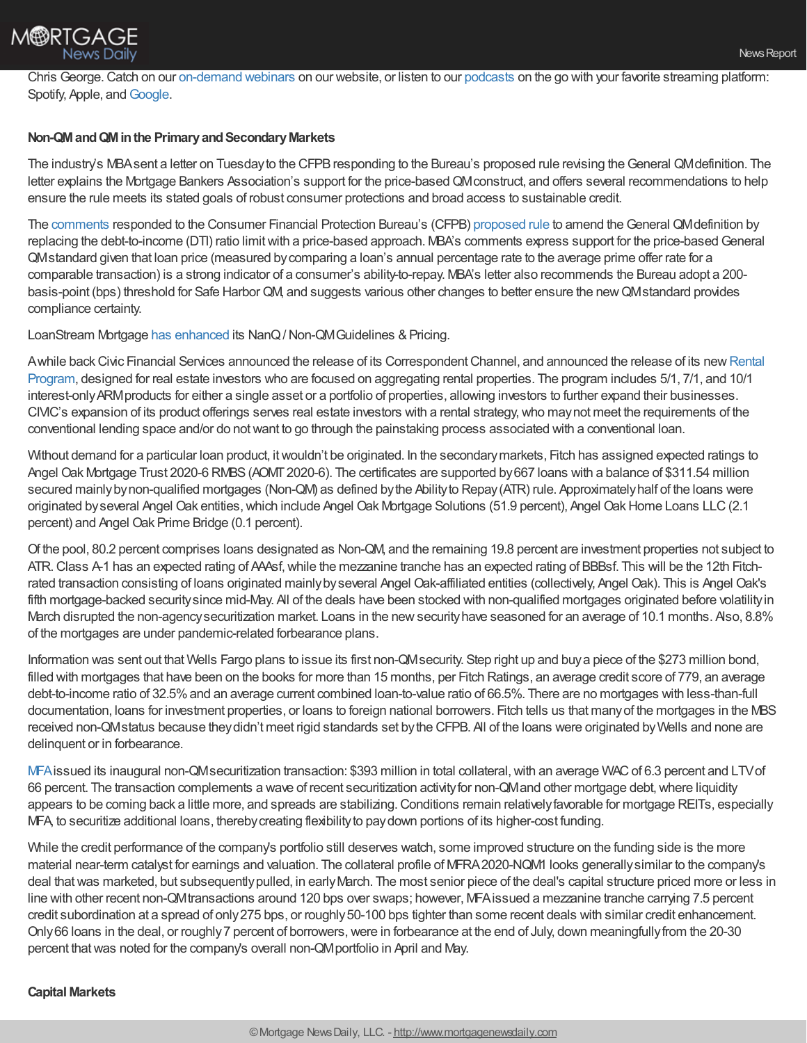Chris George.Catch on our [on-demand](https://www.statestitle.com/resources/webinar/?utm_source=newsletter&utm_medium=email&utm_campaign=robchrisman) webinars on our website, or listen to our [podcasts](https://www.statestitle.com/resources/podcasts/?utm_source=newsletter&utm_medium=email&utm_campaign=robchrisman) on the go with your favorite streaming platform: Spotify, Apple, and [Google](https://podcasts.google.com/feed/aHR0cHM6Ly9mZWVkcy5idXp6c3Byb3V0LmNvbS8xMDM4MzQzLnJzcw?ved=0CBUQ27cFahcKEwi4xurbj9_qAhUAAAAAHQAAAAAQAQ&utm_source=newsletter&utm_medium=email&utm_campaign=robchrisman).

# **Non-QMandQMinthe PrimaryandSecondaryMarkets**

The industry's MBAsent a letter on Tuesday to the CFPB responding to the Bureau's proposed rule revising the General QMdefinition. The letter explains the Mortgage Bankers Association's support for the price-based QM construct, and offers several recommendations to help ensure the rule meets its stated goals of robust consumer protections and broad access to sustainable credit.

The [comments](http://mba-pc.informz.net/z/cjUucD9taT04MDgzMjI2JnA9MSZ1PTc4MTU5OTE3OCZsaT02NzUwOTI3Nw/index.html) responded to the Consumer Financial Protection Bureau's (CFPB) [proposed](http://mba-pc.informz.net/z/cjUucD9taT04MDgzMjI2JnA9MSZ1PTc4MTU5OTE3OCZsaT02NzUwOTI3OA/index.html) rule to amend theGeneral QMdefinition by replacing the debt-to-income (DTI) ratio limitwith a price-based approach. MBA's comments express support for the price-basedGeneral QMstandard given that loan price (measured bycomparing a loan's annual percentage rate to the average prime offer rate for a comparable transaction) is a strong indicator of a consumer's ability-to-repay. MBA's letter also recommends the Bureau adopt a 200 basis-point (bps) threshold for Safe HarborQM, and suggests various other changes to better ensure the newQMstandard provides compliance certainty.

LoanStream Mortgage has [enhanced](https://loanstreamwholesale.com/non-conforming-wholesale-loan-programs/) its NanQ/Non-QMGuidelines & Pricing.

Awhile back Civic Financial Services announced the release of its Correspondent Channel, and announced the release of its new Rental Program, designed for real estate investors who are focused on aggregating rental properties. The program includes 5/1, 7/1, and 10/1 interest-onlyARMproducts for either a single asset or a portfolio of properties, allowing investors to further expand their businesses. CIVIC's expansion of its product offerings serves real estate investors with a rental strategy, who may not meet the requirements of the conventional lending space and/or do notwant to go through the painstaking process associated with a conventional loan.

Without demand for a particular loan product, itwouldn't be originated. In the secondarymarkets, Fitch has assigned expected ratings to Angel Oak Mortgage Trust 2020-6 RMBS(AOMT2020-6). The certificates are supported by667 loans with a balance of \$311.54 million secured mainly by non-qualified mortgages (Non-QM) as defined by the Ability to Repay (ATR) rule. Approximately half of the loans were originated by several Angel Oak entities, which include Angel Oak Mortgage Solutions (51.9 percent), Angel Oak Home Loans LLC (2.1 percent) and Angel Oak Prime Bridge (0.1 percent).

Of the pool, 80.2 percent comprises loans designated as Non-QM, and the remaining 19.8 percent are investment properties not subject to ATR.Class A-1 has an expected rating of AAAsf,while the mezzanine tranche has an expected rating of BBBsf. This will be the 12th Fitchrated transaction consisting of loans originated mainlybyseveral Angel Oak-affiliated entities (collectively, Angel Oak). This is Angel Oak's fifth mortgage-backed securitysince mid-May. All of the deals have been stocked with non-qualified mortgages originated before volatilityin March disrupted the non-agency securitization market. Loans in the new security have seasoned for an average of 10.1 months. Also, 8.8% of the mortgages are under pandemic-related forbearance plans.

Information was sent out that Wells Fargo plans to issue its first non-QMsecurity. Step right up and buya piece of the \$273 million bond, filled with mortgages that have been on the books for more than 15 months, per Fitch Ratings, an average credit score of 779, an average debt-to-income ratio of 32.5% and an average current combined loan-to-value ratio of 66.5%. There are no mortgages with less-than-full documentation, loans for investment properties, or loans to foreign national borrowers. Fitch tells us that manyof the mortgages in the MBS received non-QMstatus because theydidn't meet rigid standards set bythe CFPB. All of the loans were originated byWells and none are delinquent or in forbearance.

[MFA](https://www.fool.com/investing/2020/08/18/mfa-financial-successfully-navigates-coronavirus/) issued its inaugural non-QM securitization transaction: \$393 million in total collateral, with an average WAC of 6.3 percent and LTV of 66 percent. The transaction complements a wave of recent securitization activity for non-QMand other mortgage debt, where liquidity appears to be coming back a little more, and spreads are stabilizing. Conditions remain relatively favorable for mortgage REITs, especially MFA, to securitize additional loans, thereby creating flexibility to pay down portions of its higher-cost funding.

While the credit performance of the company's portfolio still deserves watch, some improved structure on the funding side is the more material near-term catalyst for earnings and valuation. The collateral profile of MFRA2020-NQM1 looks generallysimilar to the company's deal that was marketed, but subsequently pulled, in early March. The most senior piece of the deal's capital structure priced more or less in line with other recent non-QMtransactions around 120 bps over swaps; however, MFAissued a mezzanine tranche carrying 7.5 percent credit subordination at a spread of only 275 bps, or roughly 50-100 bps tighter than some recent deals with similar credit enhancement. Only66 loans in the deal, or roughly7 percent of borrowers,were in forbearance at the end of July, down meaningfullyfrom the 20-30 percent that was noted for the company's overall non-QM portfolio in April and May.

## **Capital Markets**